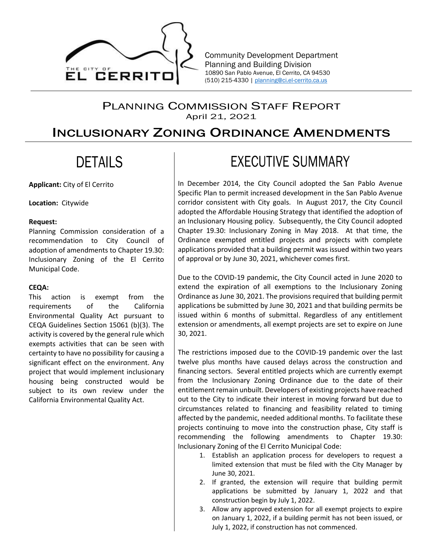

Community Development Department Planning and Building Division 10890 San Pablo Avenue, El Cerrito, CA 94530 (510) 215-4330 | planning@ci.el-cerrito.ca.us

## PLANNING COMMISSION STAFF REPORT April 21, 2021

# INCLUSIONARY ZONING ORDINANCE AMENDMENTS

# DETAILS

**Applicant:** City of El Cerrito

**Location:** Citywide

#### **Request:**

Planning Commission consideration of a recommendation to City Council of adoption of amendments to Chapter 19.30: Inclusionary Zoning of the El Cerrito Municipal Code.

### **CEQA:**

This action is exempt from the requirements of the California Environmental Quality Act pursuant to CEQA Guidelines Section 15061 (b)(3). The activity is covered by the general rule which exempts activities that can be seen with certainty to have no possibility for causing a significant effect on the environment. Any project that would implement inclusionary housing being constructed would be subject to its own review under the California Environmental Quality Act.

# EXECUTIVE SUMMARY

In December 2014, the City Council adopted the San Pablo Avenue Specific Plan to permit increased development in the San Pablo Avenue corridor consistent with City goals. In August 2017, the City Council adopted the Affordable Housing Strategy that identified the adoption of an Inclusionary Housing policy. Subsequently, the City Council adopted Chapter 19.30: Inclusionary Zoning in May 2018. At that time, the Ordinance exempted entitled projects and projects with complete applications provided that a building permit was issued within two years of approval or by June 30, 2021, whichever comes first.

Due to the COVID-19 pandemic, the City Council acted in June 2020 to extend the expiration of all exemptions to the Inclusionary Zoning Ordinance as June 30, 2021. The provisions required that building permit applications be submitted by June 30, 2021 and that building permits be issued within 6 months of submittal. Regardless of any entitlement extension or amendments, all exempt projects are set to expire on June 30, 2021.

The restrictions imposed due to the COVID-19 pandemic over the last twelve plus months have caused delays across the construction and financing sectors. Several entitled projects which are currently exempt from the Inclusionary Zoning Ordinance due to the date of their entitlement remain unbuilt. Developers of existing projects have reached out to the City to indicate their interest in moving forward but due to circumstances related to financing and feasibility related to timing affected by the pandemic, needed additional months. To facilitate these projects continuing to move into the construction phase, City staff is recommending the following amendments to Chapter 19.30: Inclusionary Zoning of the El Cerrito Municipal Code:

- 1. Establish an application process for developers to request a limited extension that must be filed with the City Manager by June 30, 2021.
- 2. If granted, the extension will require that building permit applications be submitted by January 1, 2022 and that construction begin by July 1, 2022.
- 3. Allow any approved extension for all exempt projects to expire on January 1, 2022, if a building permit has not been issued, or July 1, 2022, if construction has not commenced.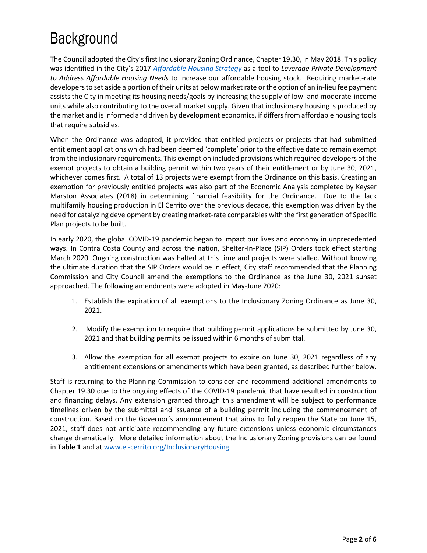# Background

The Council adopted the City's first Inclusionary Zoning Ordinance, Chapter 19.30, in May 2018. This policy was identified in the City's 2017 *Affordable Housing Strategy* as a tool to *Leverage Private Development to Address Affordable Housing Needs* to increase our affordable housing stock. Requiring market-rate developers to set aside a portion of their units at below market rate or the option of an in-lieu fee payment assists the City in meeting its housing needs/goals by increasing the supply of low- and moderate-income units while also contributing to the overall market supply. Given that inclusionary housing is produced by the market and is informed and driven by development economics, if differs from affordable housing tools that require subsidies.

When the Ordinance was adopted, it provided that entitled projects or projects that had submitted entitlement applications which had been deemed 'complete' prior to the effective date to remain exempt from the inclusionary requirements. This exemption included provisions which required developers of the exempt projects to obtain a building permit within two years of their entitlement or by June 30, 2021, whichever comes first. A total of 13 projects were exempt from the Ordinance on this basis. Creating an exemption for previously entitled projects was also part of the Economic Analysis completed by Keyser Marston Associates (2018) in determining financial feasibility for the Ordinance. Due to the lack multifamily housing production in El Cerrito over the previous decade, this exemption was driven by the need for catalyzing development by creating market-rate comparables with the first generation of Specific Plan projects to be built.

In early 2020, the global COVID-19 pandemic began to impact our lives and economy in unprecedented ways. In Contra Costa County and across the nation, Shelter-In-Place (SIP) Orders took effect starting March 2020. Ongoing construction was halted at this time and projects were stalled. Without knowing the ultimate duration that the SIP Orders would be in effect, City staff recommended that the Planning Commission and City Council amend the exemptions to the Ordinance as the June 30, 2021 sunset approached. The following amendments were adopted in May-June 2020:

- 1. Establish the expiration of all exemptions to the Inclusionary Zoning Ordinance as June 30, 2021.
- 2. Modify the exemption to require that building permit applications be submitted by June 30, 2021 and that building permits be issued within 6 months of submittal.
- 3. Allow the exemption for all exempt projects to expire on June 30, 2021 regardless of any entitlement extensions or amendments which have been granted, as described further below.

Staff is returning to the Planning Commission to consider and recommend additional amendments to Chapter 19.30 due to the ongoing effects of the COVID-19 pandemic that have resulted in construction and financing delays. Any extension granted through this amendment will be subject to performance timelines driven by the submittal and issuance of a building permit including the commencement of construction. Based on the Governor's announcement that aims to fully reopen the State on June 15, 2021, staff does not anticipate recommending any future extensions unless economic circumstances change dramatically. More detailed information about the Inclusionary Zoning provisions can be found in **Table 1** and at www.el-cerrito.org/InclusionaryHousing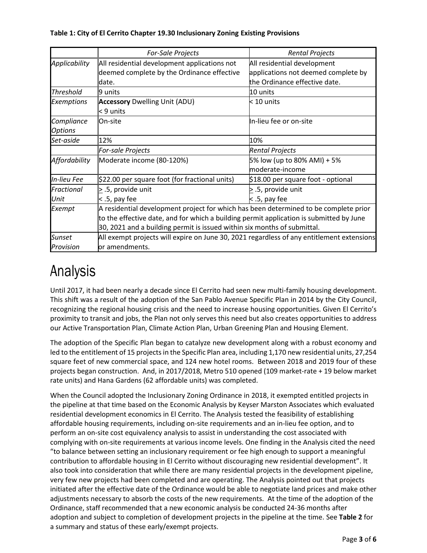### **Table 1: City of El Cerrito Chapter 19.30 Inclusionary Zoning Existing Provisions**

|                    | <b>For-Sale Projects</b>                                                                  | <b>Rental Projects</b>              |  |  |  |
|--------------------|-------------------------------------------------------------------------------------------|-------------------------------------|--|--|--|
| Applicability      | All residential development applications not                                              | All residential development         |  |  |  |
|                    | deemed complete by the Ordinance effective                                                | applications not deemed complete by |  |  |  |
|                    | date.                                                                                     | the Ordinance effective date.       |  |  |  |
| <b>Threshold</b>   | $9$ units                                                                                 | 10 units                            |  |  |  |
| <b>Exemptions</b>  | Accessory Dwelling Unit (ADU)                                                             | $\geq 10$ units                     |  |  |  |
|                    | $\leq 9$ units                                                                            |                                     |  |  |  |
| Compliance         | <b>On-site</b>                                                                            | In-lieu fee or on-site              |  |  |  |
| <b>Options</b>     |                                                                                           |                                     |  |  |  |
| Set-aside          | 12%                                                                                       | 10%                                 |  |  |  |
|                    | <b>For-sale Projects</b>                                                                  | <b>Rental Projects</b>              |  |  |  |
| Affordability      | Moderate income (80-120%)                                                                 | 5% low (up to 80% AMI) + 5%         |  |  |  |
|                    |                                                                                           | moderate-income                     |  |  |  |
| <b>In-lieu Fee</b> | $\left 522.00\right\rangle$ per square foot (for fractional units)                        | \$18.00 per square foot - optional  |  |  |  |
| Fractional         | $\geq$ .5, provide unit                                                                   | $\geq$ .5, provide unit             |  |  |  |
| Unit               | $<$ .5, pay fee                                                                           | < .5, pay fee                       |  |  |  |
| Exempt             | A residential development project for which has been determined to be complete prior      |                                     |  |  |  |
|                    | to the effective date, and for which a building permit application is submitted by June   |                                     |  |  |  |
|                    | 30, 2021 and a building permit is issued within six months of submittal.                  |                                     |  |  |  |
| <b>Sunset</b>      | All exempt projects will expire on June 30, 2021 regardless of any entitlement extensions |                                     |  |  |  |
| Provision          | or amendments.                                                                            |                                     |  |  |  |

# Analysis

Until 2017, it had been nearly a decade since El Cerrito had seen new multi-family housing development. This shift was a result of the adoption of the San Pablo Avenue Specific Plan in 2014 by the City Council, recognizing the regional housing crisis and the need to increase housing opportunities. Given El Cerrito's proximity to transit and jobs, the Plan not only serves this need but also creates opportunities to address our Active Transportation Plan, Climate Action Plan, Urban Greening Plan and Housing Element.

The adoption of the Specific Plan began to catalyze new development along with a robust economy and led to the entitlement of 15 projects in the Specific Plan area, including 1,170 new residential units, 27,254 square feet of new commercial space, and 124 new hotel rooms. Between 2018 and 2019 four of these projects began construction. And, in 2017/2018, Metro 510 opened (109 market-rate + 19 below market rate units) and Hana Gardens (62 affordable units) was completed.

When the Council adopted the Inclusionary Zoning Ordinance in 2018, it exempted entitled projects in the pipeline at that time based on the Economic Analysis by Keyser Marston Associates which evaluated residential development economics in El Cerrito. The Analysis tested the feasibility of establishing affordable housing requirements, including on-site requirements and an in-lieu fee option, and to perform an on-site cost equivalency analysis to assist in understanding the cost associated with complying with on-site requirements at various income levels. One finding in the Analysis cited the need "to balance between setting an inclusionary requirement or fee high enough to support a meaningful contribution to affordable housing in El Cerrito without discouraging new residential development". It also took into consideration that while there are many residential projects in the development pipeline, very few new projects had been completed and are operating. The Analysis pointed out that projects initiated after the effective date of the Ordinance would be able to negotiate land prices and make other adjustments necessary to absorb the costs of the new requirements. At the time of the adoption of the Ordinance, staff recommended that a new economic analysis be conducted 24-36 months after adoption and subject to completion of development projects in the pipeline at the time. See **Table 2** for a summary and status of these early/exempt projects.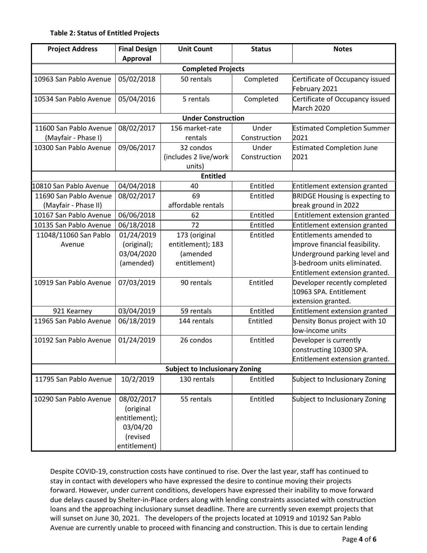### **Table 2: Status of Entitled Projects**

| <b>Project Address</b>                         | <b>Final Design</b><br><b>Approval</b>                                           | <b>Unit Count</b>                                              | <b>Status</b>         | <b>Notes</b>                                                                                                                                                |  |  |
|------------------------------------------------|----------------------------------------------------------------------------------|----------------------------------------------------------------|-----------------------|-------------------------------------------------------------------------------------------------------------------------------------------------------------|--|--|
| <b>Completed Projects</b>                      |                                                                                  |                                                                |                       |                                                                                                                                                             |  |  |
| 10963 San Pablo Avenue                         | 05/02/2018                                                                       | 50 rentals                                                     | Completed             | Certificate of Occupancy issued<br>February 2021                                                                                                            |  |  |
| 10534 San Pablo Avenue                         | 05/04/2016                                                                       | 5 rentals                                                      | Completed             | Certificate of Occupancy issued<br>March 2020                                                                                                               |  |  |
| <b>Under Construction</b>                      |                                                                                  |                                                                |                       |                                                                                                                                                             |  |  |
| 11600 San Pablo Avenue<br>(Mayfair - Phase I)  | 08/02/2017                                                                       | 156 market-rate<br>rentals                                     | Under<br>Construction | <b>Estimated Completion Summer</b><br>2021                                                                                                                  |  |  |
| 10300 San Pablo Avenue                         | 09/06/2017                                                                       | 32 condos<br>(includes 2 live/work<br>units)                   | Under<br>Construction | <b>Estimated Completion June</b><br>2021                                                                                                                    |  |  |
| <b>Entitled</b>                                |                                                                                  |                                                                |                       |                                                                                                                                                             |  |  |
| 10810 San Pablo Avenue                         | 04/04/2018                                                                       | 40                                                             | Entitled              | Entitlement extension granted                                                                                                                               |  |  |
| 11690 San Pablo Avenue<br>(Mayfair - Phase II) | 08/02/2017                                                                       | 69<br>affordable rentals                                       | Entitled              | <b>BRIDGE Housing is expecting to</b><br>break ground in 2022                                                                                               |  |  |
| 10167 San Pablo Avenue                         | 06/06/2018                                                                       | 62                                                             | Entitled              | Entitlement extension granted                                                                                                                               |  |  |
| 10135 San Pablo Avenue                         | 06/18/2018                                                                       | 72                                                             | Entitled              | Entitlement extension granted                                                                                                                               |  |  |
| 11048/11060 San Pablo<br>Avenue                | 01/24/2019<br>(original);<br>03/04/2020<br>(amended)                             | 173 (original<br>entitlement); 183<br>(amended<br>entitlement) | Entitled              | Entitlements amended to<br>improve financial feasibility.<br>Underground parking level and<br>3-bedroom units eliminated.<br>Entitlement extension granted. |  |  |
| 10919 San Pablo Avenue                         | 07/03/2019                                                                       | 90 rentals                                                     | Entitled              | Developer recently completed<br>10963 SPA. Entitlement<br>extension granted.                                                                                |  |  |
| 921 Kearney                                    | 03/04/2019                                                                       | 59 rentals                                                     | Entitled              | Entitlement extension granted                                                                                                                               |  |  |
| 11965 San Pablo Avenue                         | 06/18/2019                                                                       | 144 rentals                                                    | Entitled              | Density Bonus project with 10<br>low-income units                                                                                                           |  |  |
| 10192 San Pablo Avenue                         | 01/24/2019                                                                       | 26 condos                                                      | Entitled              | Developer is currently<br>constructing 10300 SPA.<br>Entitlement extension granted.                                                                         |  |  |
| <b>Subject to Inclusionary Zoning</b>          |                                                                                  |                                                                |                       |                                                                                                                                                             |  |  |
| 11795 San Pablo Avenue                         | 10/2/2019                                                                        | 130 rentals                                                    | Entitled              | Subject to Inclusionary Zoning                                                                                                                              |  |  |
| 10290 San Pablo Avenue                         | 08/02/2017<br>(original<br>entitlement);<br>03/04/20<br>(revised<br>entitlement) | 55 rentals                                                     | Entitled              | Subject to Inclusionary Zoning                                                                                                                              |  |  |

Despite COVID-19, construction costs have continued to rise. Over the last year, staff has continued to stay in contact with developers who have expressed the desire to continue moving their projects forward. However, under current conditions, developers have expressed their inability to move forward due delays caused by Shelter-in-Place orders along with lending constraints associated with construction loans and the approaching inclusionary sunset deadline. There are currently seven exempt projects that will sunset on June 30, 2021. The developers of the projects located at 10919 and 10192 San Pablo Avenue are currently unable to proceed with financing and construction. This is due to certain lending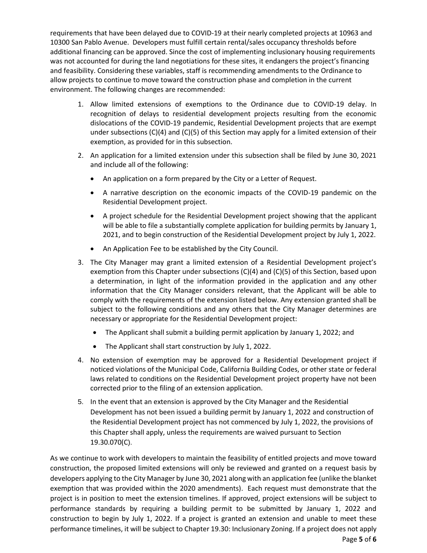requirements that have been delayed due to COVID-19 at their nearly completed projects at 10963 and 10300 San Pablo Avenue. Developers must fulfill certain rental/sales occupancy thresholds before additional financing can be approved. Since the cost of implementing inclusionary housing requirements was not accounted for during the land negotiations for these sites, it endangers the project's financing and feasibility. Considering these variables, staff is recommending amendments to the Ordinance to allow projects to continue to move toward the construction phase and completion in the current environment. The following changes are recommended:

- 1. Allow limited extensions of exemptions to the Ordinance due to COVID-19 delay. In recognition of delays to residential development projects resulting from the economic dislocations of the COVID-19 pandemic, Residential Development projects that are exempt under subsections (C)(4) and (C)(5) of this Section may apply for a limited extension of their exemption, as provided for in this subsection.
- 2. An application for a limited extension under this subsection shall be filed by June 30, 2021 and include all of the following:
	- An application on a form prepared by the City or a Letter of Request.
	- A narrative description on the economic impacts of the COVID-19 pandemic on the Residential Development project.
	- A project schedule for the Residential Development project showing that the applicant will be able to file a substantially complete application for building permits by January 1, 2021, and to begin construction of the Residential Development project by July 1, 2022.
	- An Application Fee to be established by the City Council.
- 3. The City Manager may grant a limited extension of a Residential Development project's exemption from this Chapter under subsections (C)(4) and (C)(5) of this Section, based upon a determination, in light of the information provided in the application and any other information that the City Manager considers relevant, that the Applicant will be able to comply with the requirements of the extension listed below. Any extension granted shall be subject to the following conditions and any others that the City Manager determines are necessary or appropriate for the Residential Development project:
	- The Applicant shall submit a building permit application by January 1, 2022; and
	- The Applicant shall start construction by July 1, 2022.
- 4. No extension of exemption may be approved for a Residential Development project if noticed violations of the Municipal Code, California Building Codes, or other state or federal laws related to conditions on the Residential Development project property have not been corrected prior to the filing of an extension application.
- 5. In the event that an extension is approved by the City Manager and the Residential Development has not been issued a building permit by January 1, 2022 and construction of the Residential Development project has not commenced by July 1, 2022, the provisions of this Chapter shall apply, unless the requirements are waived pursuant to Section 19.30.070(C).

Page **5** of **6** As we continue to work with developers to maintain the feasibility of entitled projects and move toward construction, the proposed limited extensions will only be reviewed and granted on a request basis by developers applying to the City Manager by June 30, 2021 along with an application fee (unlike the blanket exemption that was provided within the 2020 amendments). Each request must demonstrate that the project is in position to meet the extension timelines. If approved, project extensions will be subject to performance standards by requiring a building permit to be submitted by January 1, 2022 and construction to begin by July 1, 2022. If a project is granted an extension and unable to meet these performance timelines, it will be subject to Chapter 19.30: Inclusionary Zoning. If a project does not apply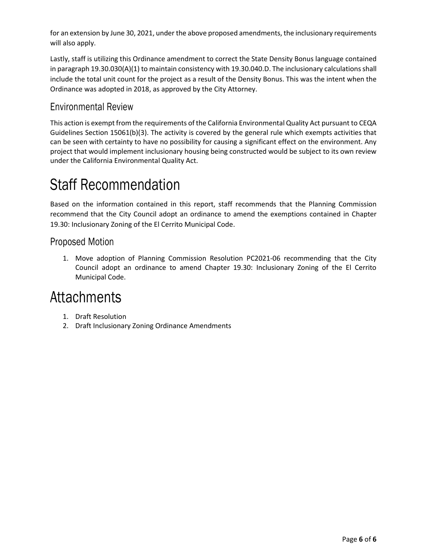for an extension by June 30, 2021, under the above proposed amendments, the inclusionary requirements will also apply.

Lastly, staff is utilizing this Ordinance amendment to correct the State Density Bonus language contained in paragraph 19.30.030(A)(1) to maintain consistency with 19.30.040.D. The inclusionary calculationsshall include the total unit count for the project as a result of the Density Bonus. This was the intent when the Ordinance was adopted in 2018, as approved by the City Attorney.

## Environmental Review

This action is exempt from the requirements of the California Environmental Quality Act pursuant to CEQA Guidelines Section 15061(b)(3). The activity is covered by the general rule which exempts activities that can be seen with certainty to have no possibility for causing a significant effect on the environment. Any project that would implement inclusionary housing being constructed would be subject to its own review under the California Environmental Quality Act.

# Staff Recommendation

Based on the information contained in this report, staff recommends that the Planning Commission recommend that the City Council adopt an ordinance to amend the exemptions contained in Chapter 19.30: Inclusionary Zoning of the El Cerrito Municipal Code.

## Proposed Motion

1. Move adoption of Planning Commission Resolution PC2021-06 recommending that the City Council adopt an ordinance to amend Chapter 19.30: Inclusionary Zoning of the El Cerrito Municipal Code.

# **Attachments**

- 1. Draft Resolution
- 2. Draft Inclusionary Zoning Ordinance Amendments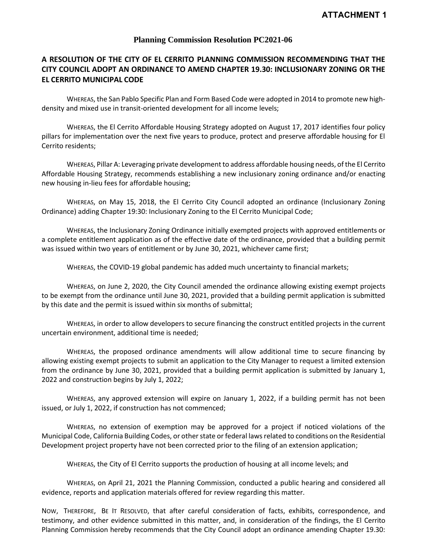### **Planning Commission Resolution PC2021-06**

## **A RESOLUTION OF THE CITY OF EL CERRITO PLANNING COMMISSION RECOMMENDING THAT THE CITY COUNCIL ADOPT AN ORDINANCE TO AMEND CHAPTER 19.30: INCLUSIONARY ZONING OR THE EL CERRITO MUNICIPAL CODE**

WHEREAS, the San Pablo Specific Plan and Form Based Code were adopted in 2014 to promote new highdensity and mixed use in transit-oriented development for all income levels;

WHEREAS, the El Cerrito Affordable Housing Strategy adopted on August 17, 2017 identifies four policy pillars for implementation over the next five years to produce, protect and preserve affordable housing for El Cerrito residents;

WHEREAS, Pillar A: Leveraging private development to address affordable housing needs, of the El Cerrito Affordable Housing Strategy, recommends establishing a new inclusionary zoning ordinance and/or enacting new housing in-lieu fees for affordable housing;

WHEREAS, on May 15, 2018, the El Cerrito City Council adopted an ordinance (Inclusionary Zoning Ordinance) adding Chapter 19:30: Inclusionary Zoning to the El Cerrito Municipal Code;

WHEREAS, the Inclusionary Zoning Ordinance initially exempted projects with approved entitlements or a complete entitlement application as of the effective date of the ordinance, provided that a building permit was issued within two years of entitlement or by June 30, 2021, whichever came first;

WHEREAS, the COVID-19 global pandemic has added much uncertainty to financial markets;

WHEREAS, on June 2, 2020, the City Council amended the ordinance allowing existing exempt projects to be exempt from the ordinance until June 30, 2021, provided that a building permit application is submitted by this date and the permit is issued within six months of submittal;

WHEREAS, in order to allow developers to secure financing the construct entitled projects in the current uncertain environment, additional time is needed;

WHEREAS, the proposed ordinance amendments will allow additional time to secure financing by allowing existing exempt projects to submit an application to the City Manager to request a limited extension from the ordinance by June 30, 2021, provided that a building permit application is submitted by January 1, 2022 and construction begins by July 1, 2022;

WHEREAS, any approved extension will expire on January 1, 2022, if a building permit has not been issued, or July 1, 2022, if construction has not commenced;

WHEREAS, no extension of exemption may be approved for a project if noticed violations of the Municipal Code, California Building Codes, or other state or federal laws related to conditions on the Residential Development project property have not been corrected prior to the filing of an extension application;

WHEREAS, the City of El Cerrito supports the production of housing at all income levels; and

WHEREAS, on April 21, 2021 the Planning Commission, conducted a public hearing and considered all evidence, reports and application materials offered for review regarding this matter.

NOW, THEREFORE, BE IT RESOLVED, that after careful consideration of facts, exhibits, correspondence, and testimony, and other evidence submitted in this matter, and, in consideration of the findings, the El Cerrito Planning Commission hereby recommends that the City Council adopt an ordinance amending Chapter 19.30: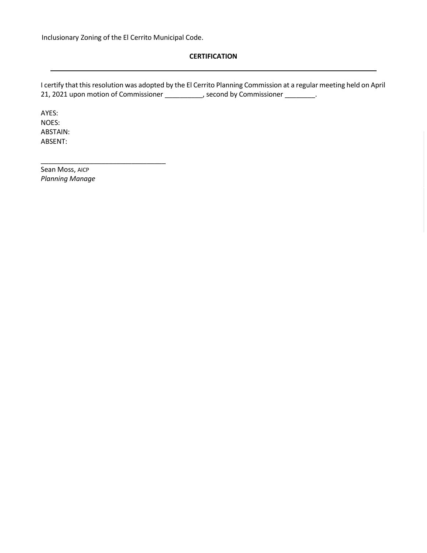\_\_\_\_\_\_\_\_\_\_\_\_\_\_\_\_\_\_\_\_\_\_\_\_\_\_\_\_\_\_\_\_\_

### **CERTIFICATION**

I certify that this resolution was adopted by the El Cerrito Planning Commission at a regular meeting held on April 21, 2021 upon motion of Commissioner \_\_\_\_\_\_\_\_\_\_, second by Commissioner \_\_\_\_\_\_\_\_.

AYES: NOES: ABSTAIN: ABSENT:

Sean Moss, AICP *Planning Manage*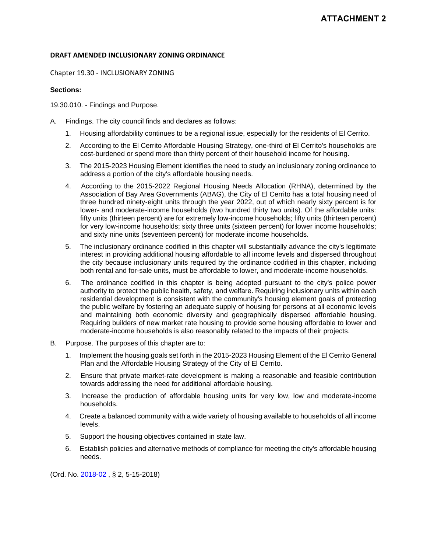### **DRAFT AMENDED INCLUSIONARY ZONING ORDINANCE**

Chapter 19.30 - INCLUSIONARY ZONING

#### **Sections:**

19.30.010. - Findings and Purpose.

- A. Findings. The city council finds and declares as follows:
	- 1. Housing affordability continues to be a regional issue, especially for the residents of El Cerrito.
	- 2. According to the El Cerrito Affordable Housing Strategy, one-third of El Cerrito's households are cost-burdened or spend more than thirty percent of their household income for housing.
	- 3. The 2015-2023 Housing Element identifies the need to study an inclusionary zoning ordinance to address a portion of the city's affordable housing needs.
	- 4. According to the 2015-2022 Regional Housing Needs Allocation (RHNA), determined by the Association of Bay Area Governments (ABAG), the City of El Cerrito has a total housing need of three hundred ninety-eight units through the year 2022, out of which nearly sixty percent is for lower- and moderate-income households (two hundred thirty two units). Of the affordable units: fifty units (thirteen percent) are for extremely low-income households; fifty units (thirteen percent) for very low-income households; sixty three units (sixteen percent) for lower income households; and sixty nine units (seventeen percent) for moderate income households.
	- 5. The inclusionary ordinance codified in this chapter will substantially advance the city's legitimate interest in providing additional housing affordable to all income levels and dispersed throughout the city because inclusionary units required by the ordinance codified in this chapter, including both rental and for-sale units, must be affordable to lower, and moderate-income households.
	- 6. The ordinance codified in this chapter is being adopted pursuant to the city's police power authority to protect the public health, safety, and welfare. Requiring inclusionary units within each residential development is consistent with the community's housing element goals of protecting the public welfare by fostering an adequate supply of housing for persons at all economic levels and maintaining both economic diversity and geographically dispersed affordable housing. Requiring builders of new market rate housing to provide some housing affordable to lower and moderate-income households is also reasonably related to the impacts of their projects.
- B. Purpose. The purposes of this chapter are to:
	- 1. Implement the housing goals set forth in the 2015-2023 Housing Element of the El Cerrito General Plan and the Affordable Housing Strategy of the City of El Cerrito.
	- 2. Ensure that private market-rate development is making a reasonable and feasible contribution towards addressing the need for additional affordable housing.
	- 3. Increase the production of affordable housing units for very low, low and moderate-income households.
	- 4. Create a balanced community with a wide variety of housing available to households of all income levels.
	- 5. Support the housing objectives contained in state law.
	- 6. Establish policies and alternative methods of compliance for meeting the city's affordable housing needs.

(Ord. No. 2018-02 , § 2, 5-15-2018)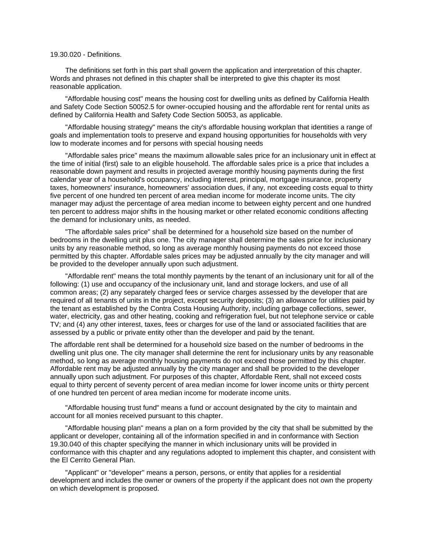#### 19.30.020 - Definitions.

The definitions set forth in this part shall govern the application and interpretation of this chapter. Words and phrases not defined in this chapter shall be interpreted to give this chapter its most reasonable application.

"Affordable housing cost" means the housing cost for dwelling units as defined by California Health and Safety Code Section 50052.5 for owner-occupied housing and the affordable rent for rental units as defined by California Health and Safety Code Section 50053, as applicable.

"Affordable housing strategy" means the city's affordable housing workplan that identities a range of goals and implementation tools to preserve and expand housing opportunities for households with very low to moderate incomes and for persons with special housing needs

"Affordable sales price" means the maximum allowable sales price for an inclusionary unit in effect at the time of initial (first) sale to an eligible household. The affordable sales price is a price that includes a reasonable down payment and results in projected average monthly housing payments during the first calendar year of a household's occupancy, including interest, principal, mortgage insurance, property taxes, homeowners' insurance, homeowners' association dues, if any, not exceeding costs equal to thirty five percent of one hundred ten percent of area median income for moderate income units. The city manager may adjust the percentage of area median income to between eighty percent and one hundred ten percent to address major shifts in the housing market or other related economic conditions affecting the demand for inclusionary units, as needed.

"The affordable sales price" shall be determined for a household size based on the number of bedrooms in the dwelling unit plus one. The city manager shall determine the sales price for inclusionary units by any reasonable method, so long as average monthly housing payments do not exceed those permitted by this chapter. Affordable sales prices may be adjusted annually by the city manager and will be provided to the developer annually upon such adjustment.

"Affordable rent" means the total monthly payments by the tenant of an inclusionary unit for all of the following: (1) use and occupancy of the inclusionary unit, land and storage lockers, and use of all common areas; (2) any separately charged fees or service charges assessed by the developer that are required of all tenants of units in the project, except security deposits; (3) an allowance for utilities paid by the tenant as established by the Contra Costa Housing Authority, including garbage collections, sewer, water, electricity, gas and other heating, cooking and refrigeration fuel, but not telephone service or cable TV; and (4) any other interest, taxes, fees or charges for use of the land or associated facilities that are assessed by a public or private entity other than the developer and paid by the tenant.

The affordable rent shall be determined for a household size based on the number of bedrooms in the dwelling unit plus one. The city manager shall determine the rent for inclusionary units by any reasonable method, so long as average monthly housing payments do not exceed those permitted by this chapter. Affordable rent may be adjusted annually by the city manager and shall be provided to the developer annually upon such adjustment. For purposes of this chapter, Affordable Rent, shall not exceed costs equal to thirty percent of seventy percent of area median income for lower income units or thirty percent of one hundred ten percent of area median income for moderate income units.

"Affordable housing trust fund" means a fund or account designated by the city to maintain and account for all monies received pursuant to this chapter.

"Affordable housing plan" means a plan on a form provided by the city that shall be submitted by the applicant or developer, containing all of the information specified in and in conformance with Section 19.30.040 of this chapter specifying the manner in which inclusionary units will be provided in conformance with this chapter and any regulations adopted to implement this chapter, and consistent with the El Cerrito General Plan.

"Applicant" or "developer" means a person, persons, or entity that applies for a residential development and includes the owner or owners of the property if the applicant does not own the property on which development is proposed.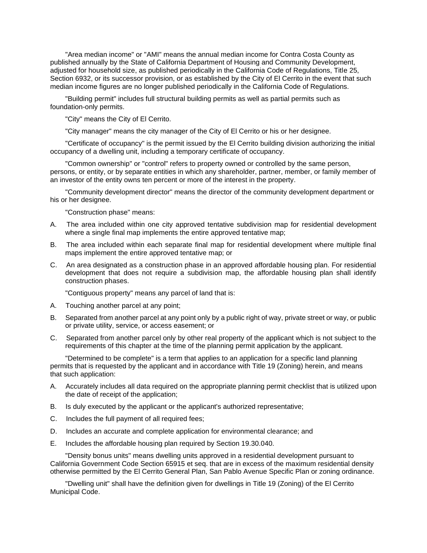"Area median income" or "AMI" means the annual median income for Contra Costa County as published annually by the State of California Department of Housing and Community Development, adjusted for household size, as published periodically in the California Code of Regulations, Title 25, Section 6932, or its successor provision, or as established by the City of El Cerrito in the event that such median income figures are no longer published periodically in the California Code of Regulations.

"Building permit" includes full structural building permits as well as partial permits such as foundation-only permits.

"City" means the City of El Cerrito.

"City manager" means the city manager of the City of El Cerrito or his or her designee.

"Certificate of occupancy" is the permit issued by the El Cerrito building division authorizing the initial occupancy of a dwelling unit, including a temporary certificate of occupancy.

"Common ownership" or "control" refers to property owned or controlled by the same person, persons, or entity, or by separate entities in which any shareholder, partner, member, or family member of an investor of the entity owns ten percent or more of the interest in the property.

"Community development director" means the director of the community development department or his or her designee.

"Construction phase" means:

- A. The area included within one city approved tentative subdivision map for residential development where a single final map implements the entire approved tentative map;
- B. The area included within each separate final map for residential development where multiple final maps implement the entire approved tentative map; or
- C. An area designated as a construction phase in an approved affordable housing plan. For residential development that does not require a subdivision map, the affordable housing plan shall identify construction phases.

"Contiguous property" means any parcel of land that is:

- A. Touching another parcel at any point;
- B. Separated from another parcel at any point only by a public right of way, private street or way, or public or private utility, service, or access easement; or
- C. Separated from another parcel only by other real property of the applicant which is not subject to the requirements of this chapter at the time of the planning permit application by the applicant.

"Determined to be complete" is a term that applies to an application for a specific land planning permits that is requested by the applicant and in accordance with Title 19 (Zoning) herein, and means that such application:

- A. Accurately includes all data required on the appropriate planning permit checklist that is utilized upon the date of receipt of the application;
- B. Is duly executed by the applicant or the applicant's authorized representative;
- C. Includes the full payment of all required fees;
- D. Includes an accurate and complete application for environmental clearance; and
- E. Includes the affordable housing plan required by Section 19.30.040.

"Density bonus units" means dwelling units approved in a residential development pursuant to California Government Code Section 65915 et seq. that are in excess of the maximum residential density otherwise permitted by the El Cerrito General Plan, San Pablo Avenue Specific Plan or zoning ordinance.

"Dwelling unit" shall have the definition given for dwellings in Title 19 (Zoning) of the El Cerrito Municipal Code.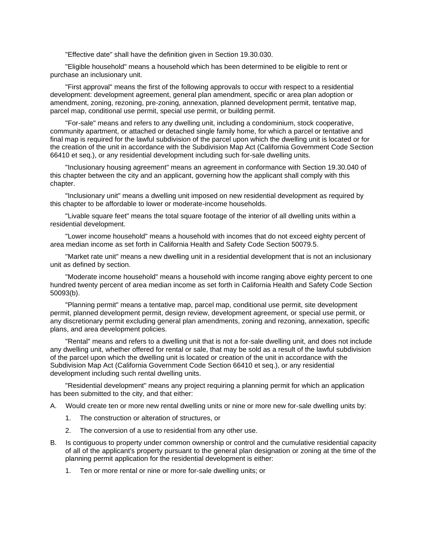"Effective date" shall have the definition given in Section 19.30.030.

"Eligible household" means a household which has been determined to be eligible to rent or purchase an inclusionary unit.

"First approval" means the first of the following approvals to occur with respect to a residential development: development agreement, general plan amendment, specific or area plan adoption or amendment, zoning, rezoning, pre-zoning, annexation, planned development permit, tentative map, parcel map, conditional use permit, special use permit, or building permit.

"For-sale" means and refers to any dwelling unit, including a condominium, stock cooperative, community apartment, or attached or detached single family home, for which a parcel or tentative and final map is required for the lawful subdivision of the parcel upon which the dwelling unit is located or for the creation of the unit in accordance with the Subdivision Map Act (California Government Code Section 66410 et seq.), or any residential development including such for-sale dwelling units.

"Inclusionary housing agreement" means an agreement in conformance with Section 19.30.040 of this chapter between the city and an applicant, governing how the applicant shall comply with this chapter.

"Inclusionary unit" means a dwelling unit imposed on new residential development as required by this chapter to be affordable to lower or moderate-income households.

"Livable square feet" means the total square footage of the interior of all dwelling units within a residential development.

"Lower income household" means a household with incomes that do not exceed eighty percent of area median income as set forth in California Health and Safety Code Section 50079.5.

"Market rate unit" means a new dwelling unit in a residential development that is not an inclusionary unit as defined by section.

"Moderate income household" means a household with income ranging above eighty percent to one hundred twenty percent of area median income as set forth in California Health and Safety Code Section 50093(b).

"Planning permit" means a tentative map, parcel map, conditional use permit, site development permit, planned development permit, design review, development agreement, or special use permit, or any discretionary permit excluding general plan amendments, zoning and rezoning, annexation, specific plans, and area development policies.

"Rental" means and refers to a dwelling unit that is not a for-sale dwelling unit, and does not include any dwelling unit, whether offered for rental or sale, that may be sold as a result of the lawful subdivision of the parcel upon which the dwelling unit is located or creation of the unit in accordance with the Subdivision Map Act (California Government Code Section 66410 et seq.), or any residential development including such rental dwelling units.

"Residential development" means any project requiring a planning permit for which an application has been submitted to the city, and that either:

A. Would create ten or more new rental dwelling units or nine or more new for-sale dwelling units by:

- 1. The construction or alteration of structures, or
- 2. The conversion of a use to residential from any other use.
- B. Is contiguous to property under common ownership or control and the cumulative residential capacity of all of the applicant's property pursuant to the general plan designation or zoning at the time of the planning permit application for the residential development is either:
	- 1. Ten or more rental or nine or more for-sale dwelling units; or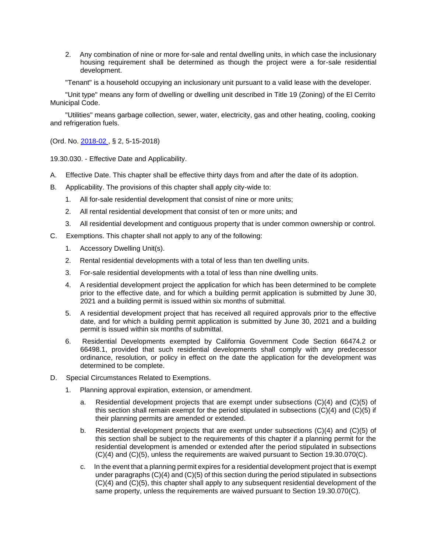2. Any combination of nine or more for-sale and rental dwelling units, in which case the inclusionary housing requirement shall be determined as though the project were a for-sale residential development.

"Tenant" is a household occupying an inclusionary unit pursuant to a valid lease with the developer.

"Unit type" means any form of dwelling or dwelling unit described in Title 19 (Zoning) of the El Cerrito Municipal Code.

"Utilities" means garbage collection, sewer, water, electricity, gas and other heating, cooling, cooking and refrigeration fuels.

(Ord. No. 2018-02 , § 2, 5-15-2018)

19.30.030. - Effective Date and Applicability.

- A. Effective Date. This chapter shall be effective thirty days from and after the date of its adoption.
- B. Applicability. The provisions of this chapter shall apply city-wide to:
	- 1. All for-sale residential development that consist of nine or more units;
	- 2. All rental residential development that consist of ten or more units; and
	- 3. All residential development and contiguous property that is under common ownership or control.
- C. Exemptions. This chapter shall not apply to any of the following:
	- 1. Accessory Dwelling Unit(s).
	- 2. Rental residential developments with a total of less than ten dwelling units.
	- 3. For-sale residential developments with a total of less than nine dwelling units.
	- 4. A residential development project the application for which has been determined to be complete prior to the effective date, and for which a building permit application is submitted by June 30, 2021 and a building permit is issued within six months of submittal.
	- 5. A residential development project that has received all required approvals prior to the effective date, and for which a building permit application is submitted by June 30, 2021 and a building permit is issued within six months of submittal.
	- 6. Residential Developments exempted by California Government Code Section 66474.2 or 66498.1, provided that such residential developments shall comply with any predecessor ordinance, resolution, or policy in effect on the date the application for the development was determined to be complete.
- D. Special Circumstances Related to Exemptions.
	- 1. Planning approval expiration, extension, or amendment.
		- a. Residential development projects that are exempt under subsections (C)(4) and (C)(5) of this section shall remain exempt for the period stipulated in subsections  $(C)(4)$  and  $(C)(5)$  if their planning permits are amended or extended.
		- b. Residential development projects that are exempt under subsections (C)(4) and (C)(5) of this section shall be subject to the requirements of this chapter if a planning permit for the residential development is amended or extended after the period stipulated in subsections (C)(4) and (C)(5), unless the requirements are waived pursuant to Section 19.30.070(C).
		- c. In the event that a planning permit expires for a residential development project that is exempt under paragraphs (C)(4) and (C)(5) of this section during the period stipulated in subsections (C)(4) and (C)(5), this chapter shall apply to any subsequent residential development of the same property, unless the requirements are waived pursuant to Section 19.30.070(C).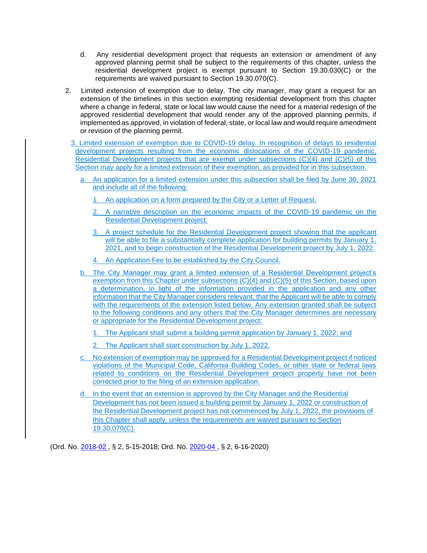- d. Any residential development project that requests an extension or amendment of any approved planning permit shall be subject to the requirements of this chapter, unless the residential development project is exempt pursuant to Section 19.30.030(C) or the requirements are waived pursuant to Section 19.30.070(C).
- 2. Limited extension of exemption due to delay. The city manager, may grant a request for an extension of the timelines in this section exempting residential development from this chapter where a change in federal, state or local law would cause the need for a material redesign of the approved residential development that would render any of the approved planning permits, if implemented as approved, in violation of federal, state, or local law and would require amendment or revision of the planning permit.
- 3. Limited extension of exemption due to COVID-19 delay. In recognition of delays to residential development projects resulting from the economic dislocations of the COVID-19 pandemic, Residential Development projects that are exempt under subsections (C)(4) and (C)(5) of this Section may apply for a limited extension of their exemption, as provided for in this subsection.
	- a. An application for a limited extension under this subsection shall be filed by June 30, 2021 and include all of the following:
		- 1. An application on a form prepared by the City or a Letter of Request.
		- 2. A narrative description on the economic impacts of the COVID-19 pandemic on the Residential Development project.
		- 3. A project schedule for the Residential Development project showing that the applicant will be able to file a substantially complete application for building permits by January 1, 2021, and to begin construction of the Residential Development project by July 1, 2022.
		- 4. An Application Fee to be established by the City Council.
	- b. The City Manager may grant a limited extension of a Residential Development project's exemption from this Chapter under subsections (C)(4) and (C)(5) of this Section, based upon a determination, in light of the information provided in the application and any other information that the City Manager considers relevant, that the Applicant will be able to comply with the requirements of the extension listed below. Any extension granted shall be subject to the following conditions and any others that the City Manager determines are necessary or appropriate for the Residential Development project:
		- 1. The Applicant shall submit a building permit application by January 1, 2022; and
		- 2. The Applicant shall start construction by July 1, 2022.
	- c. No extension of exemption may be approved for a Residential Development project if noticed violations of the Municipal Code, California Building Codes, or other state or federal laws related to conditions on the Residential Development project property have not been corrected prior to the filing of an extension application.
	- d. In the event that an extension is approved by the City Manager and the Residential Development has not been issued a building permit by January 1, 2022 or construction of the Residential Development project has not commenced by July 1, 2022, the provisions of this Chapter shall apply, unless the requirements are waived pursuant to Section 19.30.070(C).

(Ord. No. 2018-02 , § 2, 5-15-2018; Ord. No. 2020-04 , § 2, 6-16-2020)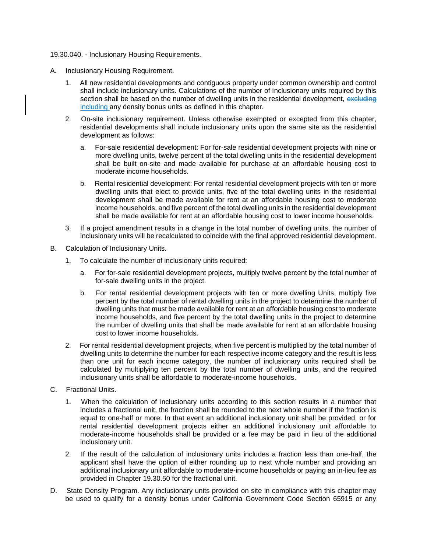#### 19.30.040. - Inclusionary Housing Requirements.

- A. Inclusionary Housing Requirement.
	- 1. All new residential developments and contiguous property under common ownership and control shall include inclusionary units. Calculations of the number of inclusionary units required by this section shall be based on the number of dwelling units in the residential development, excluding including any density bonus units as defined in this chapter.
	- 2. On-site inclusionary requirement. Unless otherwise exempted or excepted from this chapter, residential developments shall include inclusionary units upon the same site as the residential development as follows:
		- a. For-sale residential development: For for-sale residential development projects with nine or more dwelling units, twelve percent of the total dwelling units in the residential development shall be built on-site and made available for purchase at an affordable housing cost to moderate income households.
		- b. Rental residential development: For rental residential development projects with ten or more dwelling units that elect to provide units, five of the total dwelling units in the residential development shall be made available for rent at an affordable housing cost to moderate income households, and five percent of the total dwelling units in the residential development shall be made available for rent at an affordable housing cost to lower income households.
	- 3. If a project amendment results in a change in the total number of dwelling units, the number of inclusionary units will be recalculated to coincide with the final approved residential development.
- B. Calculation of Inclusionary Units.
	- 1. To calculate the number of inclusionary units required:
		- a. For for-sale residential development projects, multiply twelve percent by the total number of for-sale dwelling units in the project.
		- b. For rental residential development projects with ten or more dwelling Units, multiply five percent by the total number of rental dwelling units in the project to determine the number of dwelling units that must be made available for rent at an affordable housing cost to moderate income households, and five percent by the total dwelling units in the project to determine the number of dwelling units that shall be made available for rent at an affordable housing cost to lower income households.
	- 2. For rental residential development projects, when five percent is multiplied by the total number of dwelling units to determine the number for each respective income category and the result is less than one unit for each income category, the number of inclusionary units required shall be calculated by multiplying ten percent by the total number of dwelling units, and the required inclusionary units shall be affordable to moderate-income households.
- C. Fractional Units.
	- 1. When the calculation of inclusionary units according to this section results in a number that includes a fractional unit, the fraction shall be rounded to the next whole number if the fraction is equal to one-half or more. In that event an additional inclusionary unit shall be provided, or for rental residential development projects either an additional inclusionary unit affordable to moderate-income households shall be provided or a fee may be paid in lieu of the additional inclusionary unit.
	- 2. If the result of the calculation of inclusionary units includes a fraction less than one-half, the applicant shall have the option of either rounding up to next whole number and providing an additional inclusionary unit affordable to moderate-income households or paying an in-lieu fee as provided in Chapter 19.30.50 for the fractional unit.
- D. State Density Program. Any inclusionary units provided on site in compliance with this chapter may be used to qualify for a density bonus under California Government Code Section 65915 or any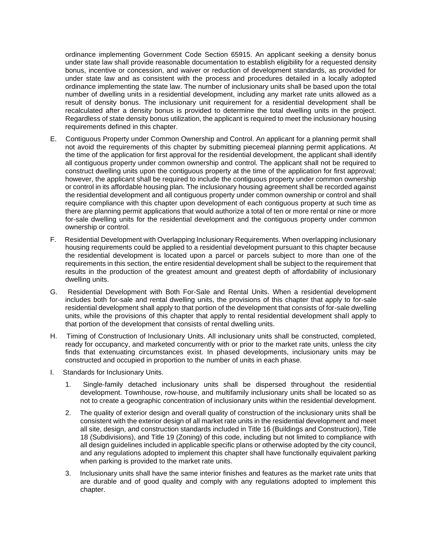ordinance implementing Government Code Section 65915. An applicant seeking a density bonus under state law shall provide reasonable documentation to establish eligibility for a requested density bonus, incentive or concession, and waiver or reduction of development standards, as provided for under state law and as consistent with the process and procedures detailed in a locally adopted ordinance implementing the state law. The number of inclusionary units shall be based upon the total number of dwelling units in a residential development, including any market rate units allowed as a result of density bonus. The inclusionary unit requirement for a residential development shall be recalculated after a density bonus is provided to determine the total dwelling units in the project. Regardless of state density bonus utilization, the applicant is required to meet the inclusionary housing requirements defined in this chapter.

- E. Contiguous Property under Common Ownership and Control. An applicant for a planning permit shall not avoid the requirements of this chapter by submitting piecemeal planning permit applications. At the time of the application for first approval for the residential development, the applicant shall identify all contiguous property under common ownership and control. The applicant shall not be required to construct dwelling units upon the contiguous property at the time of the application for first approval; however, the applicant shall be required to include the contiguous property under common ownership or control in its affordable housing plan. The inclusionary housing agreement shall be recorded against the residential development and all contiguous property under common ownership or control and shall require compliance with this chapter upon development of each contiguous property at such time as there are planning permit applications that would authorize a total of ten or more rental or nine or more for-sale dwelling units for the residential development and the contiguous property under common ownership or control.
- F. Residential Development with Overlapping Inclusionary Requirements. When overlapping inclusionary housing requirements could be applied to a residential development pursuant to this chapter because the residential development is located upon a parcel or parcels subject to more than one of the requirements in this section, the entire residential development shall be subject to the requirement that results in the production of the greatest amount and greatest depth of affordability of inclusionary dwelling units.
- G. Residential Development with Both For-Sale and Rental Units. When a residential development includes both for-sale and rental dwelling units, the provisions of this chapter that apply to for-sale residential development shall apply to that portion of the development that consists of for-sale dwelling units, while the provisions of this chapter that apply to rental residential development shall apply to that portion of the development that consists of rental dwelling units.
- H. Timing of Construction of Inclusionary Units. All inclusionary units shall be constructed, completed, ready for occupancy, and marketed concurrently with or prior to the market rate units, unless the city finds that extenuating circumstances exist. In phased developments, inclusionary units may be constructed and occupied in proportion to the number of units in each phase.
- I. Standards for Inclusionary Units.
	- 1. Single-family detached inclusionary units shall be dispersed throughout the residential development. Townhouse, row-house, and multifamily inclusionary units shall be located so as not to create a geographic concentration of inclusionary units within the residential development.
	- 2. The quality of exterior design and overall quality of construction of the inclusionary units shall be consistent with the exterior design of all market rate units in the residential development and meet all site, design, and construction standards included in Title 16 (Buildings and Construction), Title 18 (Subdivisions), and Title 19 (Zoning) of this code, including but not limited to compliance with all design guidelines included in applicable specific plans or otherwise adopted by the city council, and any regulations adopted to implement this chapter shall have functionally equivalent parking when parking is provided to the market rate units.
	- 3. Inclusionary units shall have the same interior finishes and features as the market rate units that are durable and of good quality and comply with any regulations adopted to implement this chapter.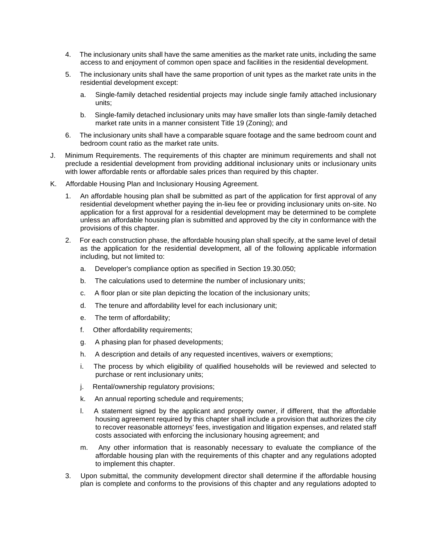- 4. The inclusionary units shall have the same amenities as the market rate units, including the same access to and enjoyment of common open space and facilities in the residential development.
- 5. The inclusionary units shall have the same proportion of unit types as the market rate units in the residential development except:
	- a. Single-family detached residential projects may include single family attached inclusionary units;
	- b. Single-family detached inclusionary units may have smaller lots than single-family detached market rate units in a manner consistent Title 19 (Zoning); and
- 6. The inclusionary units shall have a comparable square footage and the same bedroom count and bedroom count ratio as the market rate units.
- J. Minimum Requirements. The requirements of this chapter are minimum requirements and shall not preclude a residential development from providing additional inclusionary units or inclusionary units with lower affordable rents or affordable sales prices than required by this chapter.
- K. Affordable Housing Plan and Inclusionary Housing Agreement.
	- 1. An affordable housing plan shall be submitted as part of the application for first approval of any residential development whether paying the in-lieu fee or providing inclusionary units on-site. No application for a first approval for a residential development may be determined to be complete unless an affordable housing plan is submitted and approved by the city in conformance with the provisions of this chapter.
	- 2. For each construction phase, the affordable housing plan shall specify, at the same level of detail as the application for the residential development, all of the following applicable information including, but not limited to:
		- a. Developer's compliance option as specified in Section 19.30.050;
		- b. The calculations used to determine the number of inclusionary units;
		- c. A floor plan or site plan depicting the location of the inclusionary units;
		- d. The tenure and affordability level for each inclusionary unit;
		- e. The term of affordability;
		- f. Other affordability requirements;
		- g. A phasing plan for phased developments;
		- h. A description and details of any requested incentives, waivers or exemptions;
		- i. The process by which eligibility of qualified households will be reviewed and selected to purchase or rent inclusionary units;
		- j. Rental/ownership regulatory provisions;
		- k. An annual reporting schedule and requirements;
		- l. A statement signed by the applicant and property owner, if different, that the affordable housing agreement required by this chapter shall include a provision that authorizes the city to recover reasonable attorneys' fees, investigation and litigation expenses, and related staff costs associated with enforcing the inclusionary housing agreement; and
		- m. Any other information that is reasonably necessary to evaluate the compliance of the affordable housing plan with the requirements of this chapter and any regulations adopted to implement this chapter.
	- 3. Upon submittal, the community development director shall determine if the affordable housing plan is complete and conforms to the provisions of this chapter and any regulations adopted to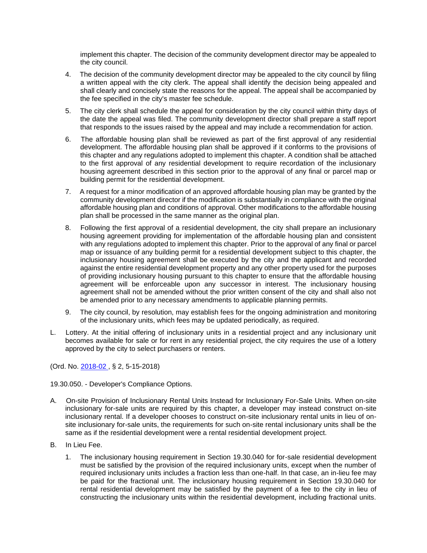implement this chapter. The decision of the community development director may be appealed to the city council.

- 4. The decision of the community development director may be appealed to the city council by filing a written appeal with the city clerk. The appeal shall identify the decision being appealed and shall clearly and concisely state the reasons for the appeal. The appeal shall be accompanied by the fee specified in the city's master fee schedule.
- 5. The city clerk shall schedule the appeal for consideration by the city council within thirty days of the date the appeal was filed. The community development director shall prepare a staff report that responds to the issues raised by the appeal and may include a recommendation for action.
- 6. The affordable housing plan shall be reviewed as part of the first approval of any residential development. The affordable housing plan shall be approved if it conforms to the provisions of this chapter and any regulations adopted to implement this chapter. A condition shall be attached to the first approval of any residential development to require recordation of the inclusionary housing agreement described in this section prior to the approval of any final or parcel map or building permit for the residential development.
- 7. A request for a minor modification of an approved affordable housing plan may be granted by the community development director if the modification is substantially in compliance with the original affordable housing plan and conditions of approval. Other modifications to the affordable housing plan shall be processed in the same manner as the original plan.
- 8. Following the first approval of a residential development, the city shall prepare an inclusionary housing agreement providing for implementation of the affordable housing plan and consistent with any regulations adopted to implement this chapter. Prior to the approval of any final or parcel map or issuance of any building permit for a residential development subject to this chapter, the inclusionary housing agreement shall be executed by the city and the applicant and recorded against the entire residential development property and any other property used for the purposes of providing inclusionary housing pursuant to this chapter to ensure that the affordable housing agreement will be enforceable upon any successor in interest. The inclusionary housing agreement shall not be amended without the prior written consent of the city and shall also not be amended prior to any necessary amendments to applicable planning permits.
- 9. The city council, by resolution, may establish fees for the ongoing administration and monitoring of the inclusionary units, which fees may be updated periodically, as required.
- L. Lottery. At the initial offering of inclusionary units in a residential project and any inclusionary unit becomes available for sale or for rent in any residential project, the city requires the use of a lottery approved by the city to select purchasers or renters.

(Ord. No. 2018-02 , § 2, 5-15-2018)

19.30.050. - Developer's Compliance Options.

- A. On-site Provision of Inclusionary Rental Units Instead for Inclusionary For-Sale Units. When on-site inclusionary for-sale units are required by this chapter, a developer may instead construct on-site inclusionary rental. If a developer chooses to construct on-site inclusionary rental units in lieu of onsite inclusionary for-sale units, the requirements for such on-site rental inclusionary units shall be the same as if the residential development were a rental residential development project.
- B. In Lieu Fee.
	- 1. The inclusionary housing requirement in Section 19.30.040 for for-sale residential development must be satisfied by the provision of the required inclusionary units, except when the number of required inclusionary units includes a fraction less than one-half. In that case, an in-lieu fee may be paid for the fractional unit. The inclusionary housing requirement in Section 19.30.040 for rental residential development may be satisfied by the payment of a fee to the city in lieu of constructing the inclusionary units within the residential development, including fractional units.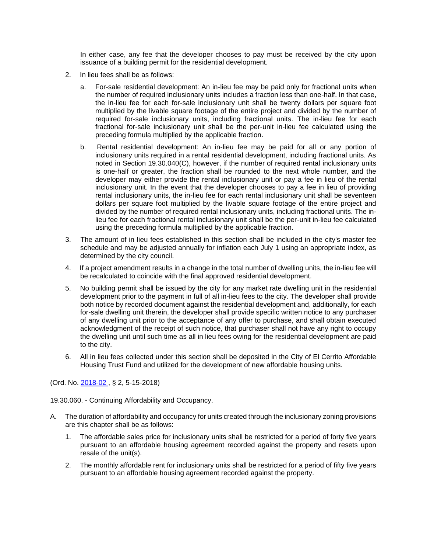In either case, any fee that the developer chooses to pay must be received by the city upon issuance of a building permit for the residential development.

- 2. In lieu fees shall be as follows:
	- a. For-sale residential development: An in-lieu fee may be paid only for fractional units when the number of required inclusionary units includes a fraction less than one-half. In that case, the in-lieu fee for each for-sale inclusionary unit shall be twenty dollars per square foot multiplied by the livable square footage of the entire project and divided by the number of required for-sale inclusionary units, including fractional units. The in-lieu fee for each fractional for-sale inclusionary unit shall be the per-unit in-lieu fee calculated using the preceding formula multiplied by the applicable fraction.
	- b. Rental residential development: An in-lieu fee may be paid for all or any portion of inclusionary units required in a rental residential development, including fractional units. As noted in Section 19.30.040(C), however, if the number of required rental inclusionary units is one-half or greater, the fraction shall be rounded to the next whole number, and the developer may either provide the rental inclusionary unit or pay a fee in lieu of the rental inclusionary unit. In the event that the developer chooses to pay a fee in lieu of providing rental inclusionary units, the in-lieu fee for each rental inclusionary unit shall be seventeen dollars per square foot multiplied by the livable square footage of the entire project and divided by the number of required rental inclusionary units, including fractional units. The inlieu fee for each fractional rental inclusionary unit shall be the per-unit in-lieu fee calculated using the preceding formula multiplied by the applicable fraction.
- 3. The amount of in lieu fees established in this section shall be included in the city's master fee schedule and may be adjusted annually for inflation each July 1 using an appropriate index, as determined by the city council.
- 4. If a project amendment results in a change in the total number of dwelling units, the in-lieu fee will be recalculated to coincide with the final approved residential development.
- 5. No building permit shall be issued by the city for any market rate dwelling unit in the residential development prior to the payment in full of all in-lieu fees to the city. The developer shall provide both notice by recorded document against the residential development and, additionally, for each for-sale dwelling unit therein, the developer shall provide specific written notice to any purchaser of any dwelling unit prior to the acceptance of any offer to purchase, and shall obtain executed acknowledgment of the receipt of such notice, that purchaser shall not have any right to occupy the dwelling unit until such time as all in lieu fees owing for the residential development are paid to the city.
- 6. All in lieu fees collected under this section shall be deposited in the City of El Cerrito Affordable Housing Trust Fund and utilized for the development of new affordable housing units.

(Ord. No. 2018-02 , § 2, 5-15-2018)

19.30.060. - Continuing Affordability and Occupancy.

- A. The duration of affordability and occupancy for units created through the inclusionary zoning provisions are this chapter shall be as follows:
	- 1. The affordable sales price for inclusionary units shall be restricted for a period of forty five years pursuant to an affordable housing agreement recorded against the property and resets upon resale of the unit(s).
	- 2. The monthly affordable rent for inclusionary units shall be restricted for a period of fifty five years pursuant to an affordable housing agreement recorded against the property.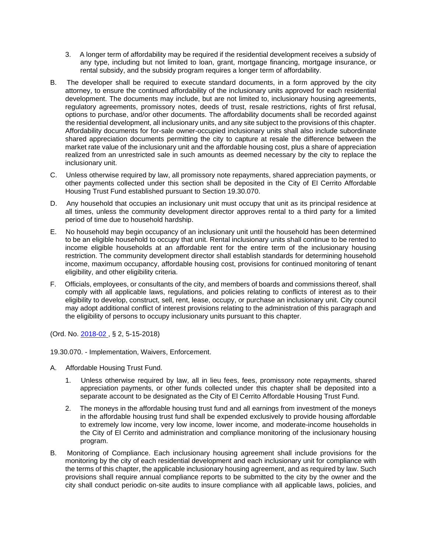- 3. A longer term of affordability may be required if the residential development receives a subsidy of any type, including but not limited to loan, grant, mortgage financing, mortgage insurance, or rental subsidy, and the subsidy program requires a longer term of affordability.
- B. The developer shall be required to execute standard documents, in a form approved by the city attorney, to ensure the continued affordability of the inclusionary units approved for each residential development. The documents may include, but are not limited to, inclusionary housing agreements, regulatory agreements, promissory notes, deeds of trust, resale restrictions, rights of first refusal, options to purchase, and/or other documents. The affordability documents shall be recorded against the residential development, all inclusionary units, and any site subject to the provisions of this chapter. Affordability documents for for-sale owner-occupied inclusionary units shall also include subordinate shared appreciation documents permitting the city to capture at resale the difference between the market rate value of the inclusionary unit and the affordable housing cost, plus a share of appreciation realized from an unrestricted sale in such amounts as deemed necessary by the city to replace the inclusionary unit.
- C. Unless otherwise required by law, all promissory note repayments, shared appreciation payments, or other payments collected under this section shall be deposited in the City of El Cerrito Affordable Housing Trust Fund established pursuant to Section 19.30.070.
- D. Any household that occupies an inclusionary unit must occupy that unit as its principal residence at all times, unless the community development director approves rental to a third party for a limited period of time due to household hardship.
- E. No household may begin occupancy of an inclusionary unit until the household has been determined to be an eligible household to occupy that unit. Rental inclusionary units shall continue to be rented to income eligible households at an affordable rent for the entire term of the inclusionary housing restriction. The community development director shall establish standards for determining household income, maximum occupancy, affordable housing cost, provisions for continued monitoring of tenant eligibility, and other eligibility criteria.
- F. Officials, employees, or consultants of the city, and members of boards and commissions thereof, shall comply with all applicable laws, regulations, and policies relating to conflicts of interest as to their eligibility to develop, construct, sell, rent, lease, occupy, or purchase an inclusionary unit. City council may adopt additional conflict of interest provisions relating to the administration of this paragraph and the eligibility of persons to occupy inclusionary units pursuant to this chapter.

(Ord. No. 2018-02 , § 2, 5-15-2018)

19.30.070. - Implementation, Waivers, Enforcement.

- A. Affordable Housing Trust Fund.
	- 1. Unless otherwise required by law, all in lieu fees, fees, promissory note repayments, shared appreciation payments, or other funds collected under this chapter shall be deposited into a separate account to be designated as the City of El Cerrito Affordable Housing Trust Fund.
	- 2. The moneys in the affordable housing trust fund and all earnings from investment of the moneys in the affordable housing trust fund shall be expended exclusively to provide housing affordable to extremely low income, very low income, lower income, and moderate-income households in the City of El Cerrito and administration and compliance monitoring of the inclusionary housing program.
- B. Monitoring of Compliance. Each inclusionary housing agreement shall include provisions for the monitoring by the city of each residential development and each inclusionary unit for compliance with the terms of this chapter, the applicable inclusionary housing agreement, and as required by law. Such provisions shall require annual compliance reports to be submitted to the city by the owner and the city shall conduct periodic on-site audits to insure compliance with all applicable laws, policies, and